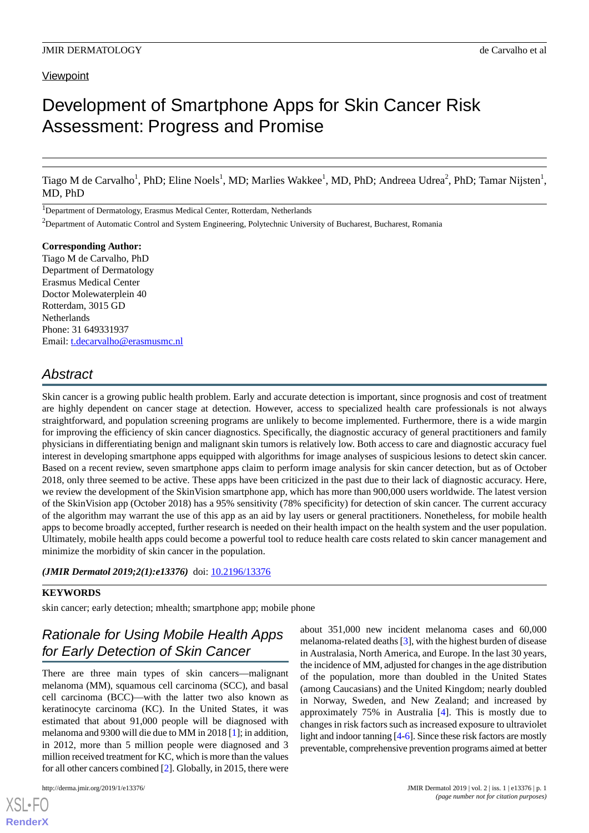#### **Viewpoint**

# Development of Smartphone Apps for Skin Cancer Risk Assessment: Progress and Promise

Tiago M de Carvalho<sup>1</sup>, PhD; Eline Noels<sup>1</sup>, MD; Marlies Wakkee<sup>1</sup>, MD, PhD; Andreea Udrea<sup>2</sup>, PhD; Tamar Nijsten<sup>1</sup>, MD, PhD

<sup>1</sup>Department of Dermatology, Erasmus Medical Center, Rotterdam, Netherlands

<sup>2</sup>Department of Automatic Control and System Engineering, Polytechnic University of Bucharest, Bucharest, Romania

**Corresponding Author:** Tiago M de Carvalho, PhD Department of Dermatology Erasmus Medical Center Doctor Molewaterplein 40 Rotterdam, 3015 GD Netherlands Phone: 31 649331937 Email: [t.decarvalho@erasmusmc.nl](mailto:t.decarvalho@erasmusmc.nl)

## *Abstract*

Skin cancer is a growing public health problem. Early and accurate detection is important, since prognosis and cost of treatment are highly dependent on cancer stage at detection. However, access to specialized health care professionals is not always straightforward, and population screening programs are unlikely to become implemented. Furthermore, there is a wide margin for improving the efficiency of skin cancer diagnostics. Specifically, the diagnostic accuracy of general practitioners and family physicians in differentiating benign and malignant skin tumors is relatively low. Both access to care and diagnostic accuracy fuel interest in developing smartphone apps equipped with algorithms for image analyses of suspicious lesions to detect skin cancer. Based on a recent review, seven smartphone apps claim to perform image analysis for skin cancer detection, but as of October 2018, only three seemed to be active. These apps have been criticized in the past due to their lack of diagnostic accuracy. Here, we review the development of the SkinVision smartphone app, which has more than 900,000 users worldwide. The latest version of the SkinVision app (October 2018) has a 95% sensitivity (78% specificity) for detection of skin cancer. The current accuracy of the algorithm may warrant the use of this app as an aid by lay users or general practitioners. Nonetheless, for mobile health apps to become broadly accepted, further research is needed on their health impact on the health system and the user population. Ultimately, mobile health apps could become a powerful tool to reduce health care costs related to skin cancer management and minimize the morbidity of skin cancer in the population.

*(JMIR Dermatol 2019;2(1):e13376)* doi: [10.2196/13376](http://dx.doi.org/10.2196/13376)

#### **KEYWORDS**

skin cancer; early detection; mhealth; smartphone app; mobile phone

## *Rationale for Using Mobile Health Apps for Early Detection of Skin Cancer*

There are three main types of skin cancers—malignant melanoma (MM), squamous cell carcinoma (SCC), and basal cell carcinoma (BCC)—with the latter two also known as keratinocyte carcinoma (KC). In the United States, it was estimated that about 91,000 people will be diagnosed with melanoma and 9300 will die due to MM in 2018 [\[1](#page-8-0)]; in addition, in 2012, more than 5 million people were diagnosed and 3 million received treatment for KC, which is more than the values for all other cancers combined [[2\]](#page-8-1). Globally, in 2015, there were

[XSL](http://www.w3.org/Style/XSL)•FO **[RenderX](http://www.renderx.com/)**

about 351,000 new incident melanoma cases and 60,000 melanoma-related deaths [[3\]](#page-8-2), with the highest burden of disease in Australasia, North America, and Europe. In the last 30 years, the incidence of MM, adjusted for changes in the age distribution of the population, more than doubled in the United States (among Caucasians) and the United Kingdom; nearly doubled in Norway, Sweden, and New Zealand; and increased by approximately 75% in Australia [[4](#page-8-3)]. This is mostly due to changes in risk factors such as increased exposure to ultraviolet light and indoor tanning [\[4](#page-8-3)[-6](#page-8-4)]. Since these risk factors are mostly preventable, comprehensive prevention programs aimed at better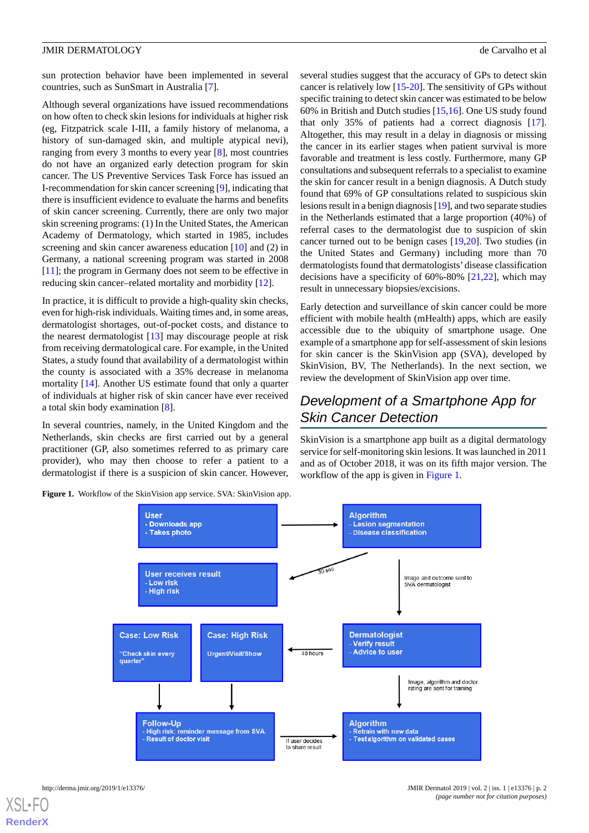sun protection behavior have been implemented in several countries, such as SunSmart in Australia [[7\]](#page-8-5).

Although several organizations have issued recommendations on how often to check skin lesions for individuals at higher risk (eg, Fitzpatrick scale I-III, a family history of melanoma, a history of sun-damaged skin, and multiple atypical nevi), ranging from every 3 months to every year [[8](#page-9-0)], most countries do not have an organized early detection program for skin cancer. The US Preventive Services Task Force has issued an I-recommendation for skin cancer screening [[9\]](#page-9-1), indicating that there is insufficient evidence to evaluate the harms and benefits of skin cancer screening. Currently, there are only two major skin screening programs: (1) In the United States, the American Academy of Dermatology, which started in 1985, includes screening and skin cancer awareness education [[10\]](#page-9-2) and (2) in Germany, a national screening program was started in 2008 [[11\]](#page-9-3); the program in Germany does not seem to be effective in reducing skin cancer–related mortality and morbidity [\[12](#page-9-4)].

In practice, it is difficult to provide a high-quality skin checks, even for high-risk individuals. Waiting times and, in some areas, dermatologist shortages, out-of-pocket costs, and distance to the nearest dermatologist [[13\]](#page-9-5) may discourage people at risk from receiving dermatological care. For example, in the United States, a study found that availability of a dermatologist within the county is associated with a 35% decrease in melanoma mortality [\[14](#page-9-6)]. Another US estimate found that only a quarter of individuals at higher risk of skin cancer have ever received a total skin body examination [\[8\]](#page-9-0).

<span id="page-1-0"></span>In several countries, namely, in the United Kingdom and the Netherlands, skin checks are first carried out by a general practitioner (GP, also sometimes referred to as primary care provider), who may then choose to refer a patient to a dermatologist if there is a suspicion of skin cancer. However,

**Figure 1.** Workflow of the SkinVision app service. SVA: SkinVision app.

several studies suggest that the accuracy of GPs to detect skin cancer is relatively low [[15-](#page-9-7)[20\]](#page-9-8). The sensitivity of GPs without specific training to detect skin cancer was estimated to be below 60% in British and Dutch studies [[15](#page-9-7)[,16](#page-9-9)]. One US study found that only 35% of patients had a correct diagnosis [[17\]](#page-9-10). Altogether, this may result in a delay in diagnosis or missing the cancer in its earlier stages when patient survival is more favorable and treatment is less costly. Furthermore, many GP consultations and subsequent referrals to a specialist to examine the skin for cancer result in a benign diagnosis. A Dutch study found that 69% of GP consultations related to suspicious skin lesions result in a benign diagnosis [\[19\]](#page-9-11), and two separate studies in the Netherlands estimated that a large proportion (40%) of referral cases to the dermatologist due to suspicion of skin cancer turned out to be benign cases [[19,](#page-9-11)[20](#page-9-8)]. Two studies (in the United States and Germany) including more than 70 dermatologists found that dermatologists'disease classification decisions have a specificity of 60%-80% [\[21](#page-9-12),[22\]](#page-9-13), which may result in unnecessary biopsies/excisions.

Early detection and surveillance of skin cancer could be more efficient with mobile health (mHealth) apps, which are easily accessible due to the ubiquity of smartphone usage. One example of a smartphone app for self-assessment of skin lesions for skin cancer is the SkinVision app (SVA), developed by SkinVision, BV, The Netherlands). In the next section, we review the development of SkinVision app over time.

## *Development of a Smartphone App for Skin Cancer Detection*

SkinVision is a smartphone app built as a digital dermatology service for self-monitoring skin lesions. It was launched in 2011 and as of October 2018, it was on its fifth major version. The workflow of the app is given in [Figure 1](#page-1-0).

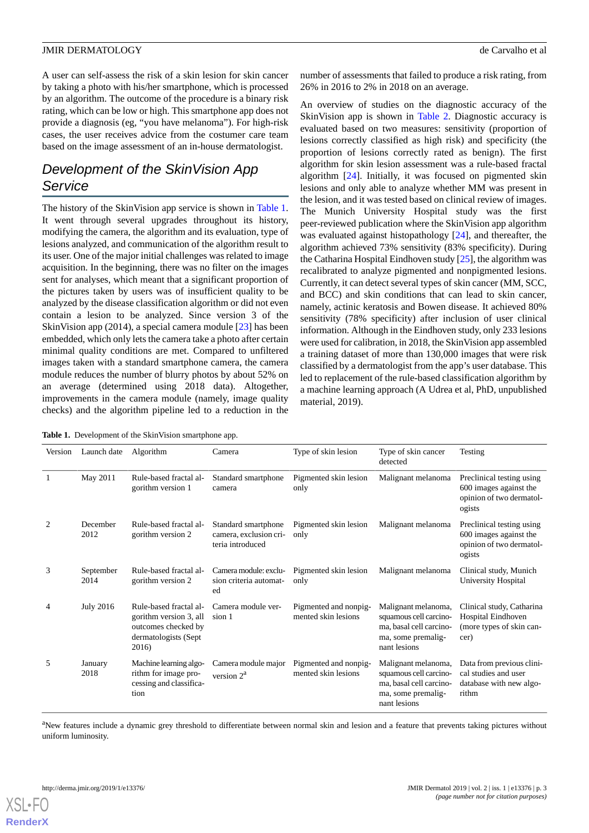A user can self-assess the risk of a skin lesion for skin cancer by taking a photo with his/her smartphone, which is processed by an algorithm. The outcome of the procedure is a binary risk rating, which can be low or high. This smartphone app does not provide a diagnosis (eg, "you have melanoma"). For high-risk cases, the user receives advice from the costumer care team based on the image assessment of an in-house dermatologist.

## *Development of the SkinVision App Service*

The history of the SkinVision app service is shown in [Table 1](#page-2-0). It went through several upgrades throughout its history, modifying the camera, the algorithm and its evaluation, type of lesions analyzed, and communication of the algorithm result to its user. One of the major initial challenges was related to image acquisition. In the beginning, there was no filter on the images sent for analyses, which meant that a significant proportion of the pictures taken by users was of insufficient quality to be analyzed by the disease classification algorithm or did not even contain a lesion to be analyzed. Since version 3 of the SkinVision app (2014), a special camera module [\[23](#page-9-14)] has been embedded, which only lets the camera take a photo after certain minimal quality conditions are met. Compared to unfiltered images taken with a standard smartphone camera, the camera module reduces the number of blurry photos by about 52% on an average (determined using 2018 data). Altogether, improvements in the camera module (namely, image quality checks) and the algorithm pipeline led to a reduction in the

number of assessments that failed to produce a risk rating, from 26% in 2016 to 2% in 2018 on an average.

An overview of studies on the diagnostic accuracy of the SkinVision app is shown in [Table 2](#page-3-0). Diagnostic accuracy is evaluated based on two measures: sensitivity (proportion of lesions correctly classified as high risk) and specificity (the proportion of lesions correctly rated as benign). The first algorithm for skin lesion assessment was a rule-based fractal algorithm [\[24](#page-9-15)]. Initially, it was focused on pigmented skin lesions and only able to analyze whether MM was present in the lesion, and it was tested based on clinical review of images. The Munich University Hospital study was the first peer-reviewed publication where the SkinVision app algorithm was evaluated against histopathology [\[24](#page-9-15)], and thereafter, the algorithm achieved 73% sensitivity (83% specificity). During the Catharina Hospital Eindhoven study [\[25](#page-9-16)], the algorithm was recalibrated to analyze pigmented and nonpigmented lesions. Currently, it can detect several types of skin cancer (MM, SCC, and BCC) and skin conditions that can lead to skin cancer, namely, actinic keratosis and Bowen disease. It achieved 80% sensitivity (78% specificity) after inclusion of user clinical information. Although in the Eindhoven study, only 233 lesions were used for calibration, in 2018, the SkinVision app assembled a training dataset of more than 130,000 images that were risk classified by a dermatologist from the app's user database. This led to replacement of the rule-based classification algorithm by a machine learning approach (A Udrea et al, PhD, unpublished material, 2019).

<span id="page-2-0"></span>**Table 1.** Development of the SkinVision smartphone app.

| Version | Launch date       | Algorithm                                                                                                | Camera                                                            | Type of skin lesion                          | Type of skin cancer<br>detected                                                                                | Testing                                                                                   |
|---------|-------------------|----------------------------------------------------------------------------------------------------------|-------------------------------------------------------------------|----------------------------------------------|----------------------------------------------------------------------------------------------------------------|-------------------------------------------------------------------------------------------|
| 1       | May 2011          | Rule-based fractal al-<br>gorithm version 1                                                              | Standard smartphone<br>camera                                     | Pigmented skin lesion<br>only                | Malignant melanoma                                                                                             | Preclinical testing using<br>600 images against the<br>opinion of two dermatol-<br>ogists |
| 2       | December<br>2012  | Rule-based fractal al-<br>gorithm version 2                                                              | Standard smartphone<br>camera, exclusion cri-<br>teria introduced | Pigmented skin lesion<br>only                | Malignant melanoma                                                                                             | Preclinical testing using<br>600 images against the<br>opinion of two dermatol-<br>ogists |
| 3       | September<br>2014 | Rule-based fractal al-<br>gorithm version 2                                                              | Camera module: exclu-<br>sion criteria automat-<br>ed             | Pigmented skin lesion<br>only                | Malignant melanoma                                                                                             | Clinical study, Munich<br>University Hospital                                             |
| 4       | July 2016         | Rule-based fractal al-<br>gorithm version 3, all<br>outcomes checked by<br>dermatologists (Sept<br>2016) | Camera module ver-<br>sion 1                                      | Pigmented and nonpig-<br>mented skin lesions | Malignant melanoma,<br>squamous cell carcino-<br>ma, basal cell carcino-<br>ma, some premalig-<br>nant lesions | Clinical study, Catharina<br>Hospital Eindhoven<br>(more types of skin can-<br>cer)       |
| 5       | January<br>2018   | Machine learning algo-<br>rithm for image pro-<br>cessing and classifica-<br>tion                        | Camera module major<br>version $2^a$                              | Pigmented and nonpig-<br>mented skin lesions | Malignant melanoma,<br>squamous cell carcino-<br>ma, basal cell carcino-<br>ma, some premalig-<br>nant lesions | Data from previous clini-<br>cal studies and user<br>database with new algo-<br>rithm     |

<sup>a</sup>New features include a dynamic grey threshold to differentiate between normal skin and lesion and a feature that prevents taking pictures without uniform luminosity.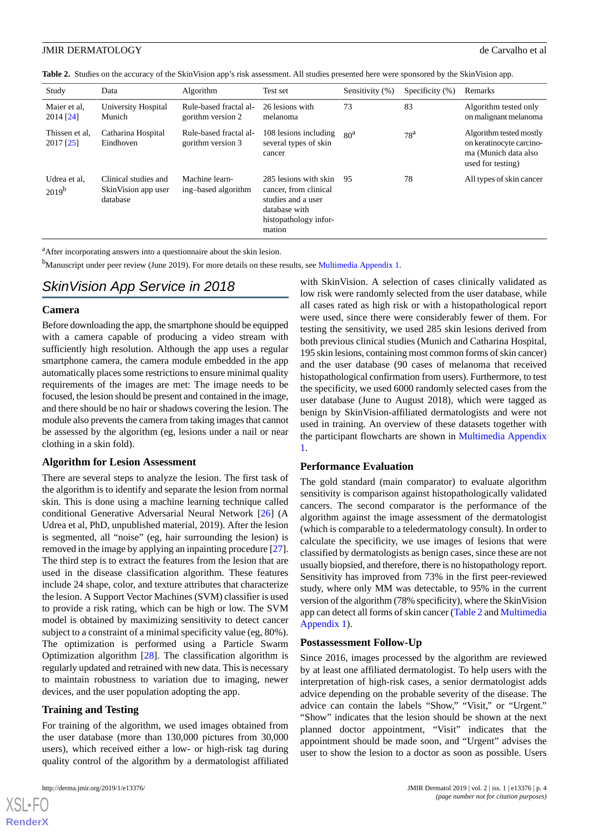<span id="page-3-0"></span>

|  | Table 2. Studies on the accuracy of the SkinVision app's risk assessment. All studies presented here were sponsored by the SkinVision app. |  |  |  |
|--|--------------------------------------------------------------------------------------------------------------------------------------------|--|--|--|
|--|--------------------------------------------------------------------------------------------------------------------------------------------|--|--|--|

| Study                       | Data                                                    | Algorithm                                   | Test set                                                                                                                 | Sensitivity (%) | Specificity $(\% )$ | Remarks                                                                                          |
|-----------------------------|---------------------------------------------------------|---------------------------------------------|--------------------------------------------------------------------------------------------------------------------------|-----------------|---------------------|--------------------------------------------------------------------------------------------------|
| Maier et al.<br>$2014$ [24] | University Hospital<br>Munich                           | Rule-based fractal al-<br>gorithm version 2 | 26 lesions with<br>melanoma                                                                                              | 73              | 83                  | Algorithm tested only<br>on malignant melanoma                                                   |
| Thissen et al.<br>2017 [25] | Catharina Hospital<br>Eindhoven                         | Rule-based fractal al-<br>gorithm version 3 | 108 lesions including<br>several types of skin<br>cancer                                                                 | 80 <sup>a</sup> | 78 <sup>a</sup>     | Algorithm tested mostly<br>on keratinocyte carcino-<br>ma (Munich data also<br>used for testing) |
| Udrea et al.<br>$2019^{b}$  | Clinical studies and<br>SkinVision app user<br>database | Machine learn-<br>ing-based algorithm       | 285 lesions with skin<br>cancer, from clinical<br>studies and a user<br>database with<br>histopathology infor-<br>mation | 95              | 78                  | All types of skin cancer                                                                         |

<sup>a</sup>After incorporating answers into a questionnaire about the skin lesion.

<sup>b</sup>Manuscript under peer review (June 2019). For more details on these results, see [Multimedia Appendix 1.](#page-8-6)

## *SkinVision App Service in 2018*

#### **Camera**

Before downloading the app, the smartphone should be equipped with a camera capable of producing a video stream with sufficiently high resolution. Although the app uses a regular smartphone camera, the camera module embedded in the app automatically places some restrictions to ensure minimal quality requirements of the images are met: The image needs to be focused, the lesion should be present and contained in the image, and there should be no hair or shadows covering the lesion. The module also prevents the camera from taking images that cannot be assessed by the algorithm (eg, lesions under a nail or near clothing in a skin fold).

#### **Algorithm for Lesion Assessment**

There are several steps to analyze the lesion. The first task of the algorithm is to identify and separate the lesion from normal skin. This is done using a machine learning technique called conditional Generative Adversarial Neural Network [[26\]](#page-9-17) (A Udrea et al, PhD, unpublished material, 2019). After the lesion is segmented, all "noise" (eg, hair surrounding the lesion) is removed in the image by applying an inpainting procedure [[27\]](#page-9-18). The third step is to extract the features from the lesion that are used in the disease classification algorithm. These features include 24 shape, color, and texture attributes that characterize the lesion. A Support Vector Machines (SVM) classifier is used to provide a risk rating, which can be high or low. The SVM model is obtained by maximizing sensitivity to detect cancer subject to a constraint of a minimal specificity value (eg, 80%). The optimization is performed using a Particle Swarm Optimization algorithm [[28\]](#page-9-19). The classification algorithm is regularly updated and retrained with new data. This is necessary to maintain robustness to variation due to imaging, newer devices, and the user population adopting the app.

#### **Training and Testing**

For training of the algorithm, we used images obtained from the user database (more than 130,000 pictures from 30,000 users), which received either a low- or high-risk tag during quality control of the algorithm by a dermatologist affiliated with SkinVision. A selection of cases clinically validated as low risk were randomly selected from the user database, while all cases rated as high risk or with a histopathological report were used, since there were considerably fewer of them. For testing the sensitivity, we used 285 skin lesions derived from both previous clinical studies (Munich and Catharina Hospital, 195 skin lesions, containing most common forms of skin cancer) and the user database (90 cases of melanoma that received histopathological confirmation from users). Furthermore, to test the specificity, we used 6000 randomly selected cases from the user database (June to August 2018), which were tagged as benign by SkinVision-affiliated dermatologists and were not used in training. An overview of these datasets together with the participant flowcharts are shown in [Multimedia Appendix](#page-8-6) [1.](#page-8-6)

#### **Performance Evaluation**

The gold standard (main comparator) to evaluate algorithm sensitivity is comparison against histopathologically validated cancers. The second comparator is the performance of the algorithm against the image assessment of the dermatologist (which is comparable to a teledermatology consult). In order to calculate the specificity, we use images of lesions that were classified by dermatologists as benign cases, since these are not usually biopsied, and therefore, there is no histopathology report. Sensitivity has improved from 73% in the first peer-reviewed study, where only MM was detectable, to 95% in the current version of the algorithm (78% specificity), where the SkinVision app can detect all forms of skin cancer ([Table 2](#page-3-0) and [Multimedia](#page-8-6) [Appendix 1\)](#page-8-6).

#### **Postassessment Follow-Up**

Since 2016, images processed by the algorithm are reviewed by at least one affiliated dermatologist. To help users with the interpretation of high-risk cases, a senior dermatologist adds advice depending on the probable severity of the disease. The advice can contain the labels "Show," "Visit," or "Urgent." "Show" indicates that the lesion should be shown at the next planned doctor appointment, "Visit" indicates that the appointment should be made soon, and "Urgent" advises the user to show the lesion to a doctor as soon as possible. Users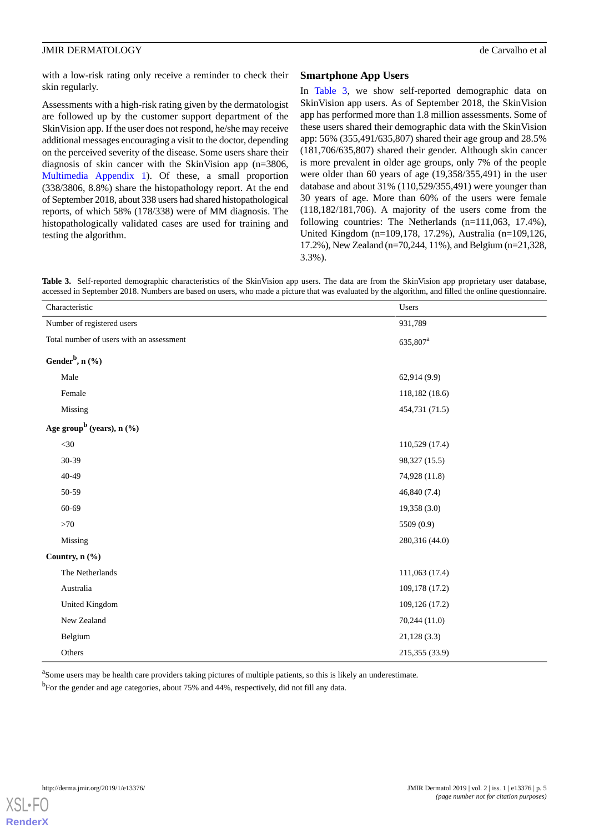with a low-risk rating only receive a reminder to check their skin regularly.

Assessments with a high-risk rating given by the dermatologist are followed up by the customer support department of the SkinVision app. If the user does not respond, he/she may receive additional messages encouraging a visit to the doctor, depending on the perceived severity of the disease. Some users share their diagnosis of skin cancer with the SkinVision app (n=3806, [Multimedia Appendix 1\)](#page-8-6). Of these, a small proportion (338/3806, 8.8%) share the histopathology report. At the end of September 2018, about 338 users had shared histopathological reports, of which 58% (178/338) were of MM diagnosis. The histopathologically validated cases are used for training and testing the algorithm.

#### **Smartphone App Users**

In [Table 3](#page-4-0), we show self-reported demographic data on SkinVision app users. As of September 2018, the SkinVision app has performed more than 1.8 million assessments. Some of these users shared their demographic data with the SkinVision app: 56% (355,491/635,807) shared their age group and 28.5% (181,706/635,807) shared their gender. Although skin cancer is more prevalent in older age groups, only 7% of the people were older than 60 years of age (19,358/355,491) in the user database and about 31% (110,529/355,491) were younger than 30 years of age. More than 60% of the users were female (118,182/181,706). A majority of the users come from the following countries: The Netherlands (n=111,063, 17.4%), United Kingdom (n=109,178, 17.2%), Australia (n=109,126, 17.2%), New Zealand (n=70,244, 11%), and Belgium (n=21,328, 3.3%).

<span id="page-4-0"></span>**Table 3.** Self-reported demographic characteristics of the SkinVision app users. The data are from the SkinVision app proprietary user database, accessed in September 2018. Numbers are based on users, who made a picture that was evaluated by the algorithm, and filled the online questionnaire.

| Characteristic                           | Users                |
|------------------------------------------|----------------------|
| Number of registered users               | 931,789              |
| Total number of users with an assessment | 635,807 <sup>a</sup> |
| Gender <sup>b</sup> , n $(\frac{6}{6})$  |                      |
| Male                                     | 62,914 (9.9)         |
| Female                                   | 118,182 (18.6)       |
| Missing                                  | 454,731 (71.5)       |
| Age group <sup>b</sup> (years), $n$ (%)  |                      |
| $<30$                                    | 110,529 (17.4)       |
| 30-39                                    | 98,327 (15.5)        |
| 40-49                                    | 74,928 (11.8)        |
| 50-59                                    | 46,840 (7.4)         |
| 60-69                                    | 19,358 (3.0)         |
| ${>}70$                                  | 5509 (0.9)           |
| Missing                                  | 280,316 (44.0)       |
| Country, n (%)                           |                      |
| The Netherlands                          | 111,063 (17.4)       |
| Australia                                | 109,178 (17.2)       |
| <b>United Kingdom</b>                    | 109,126 (17.2)       |
| New Zealand                              | 70,244 (11.0)        |
| Belgium                                  | 21,128(3.3)          |
| Others                                   | 215,355 (33.9)       |

<sup>a</sup>Some users may be health care providers taking pictures of multiple patients, so this is likely an underestimate. <sup>b</sup>For the gender and age categories, about 75% and 44%, respectively, did not fill any data.

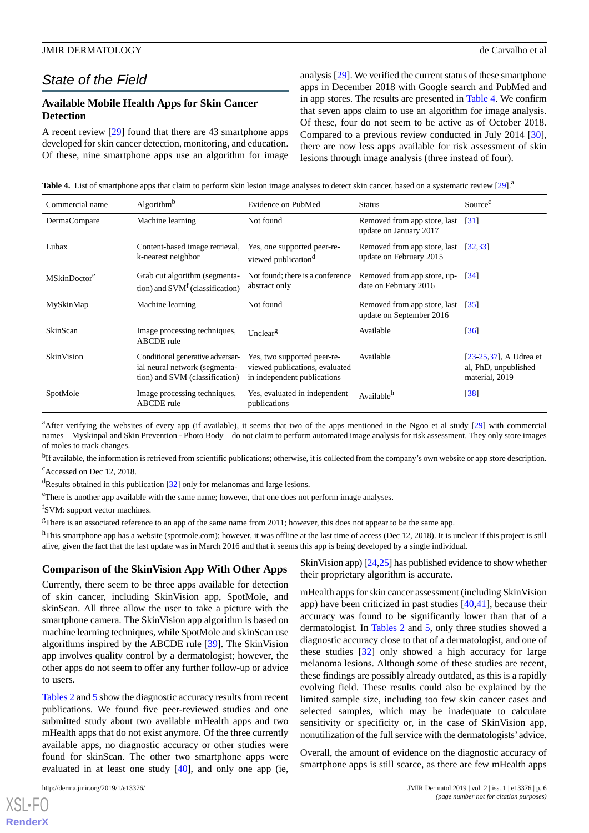## *State of the Field*

#### **Available Mobile Health Apps for Skin Cancer Detection**

A recent review [[29\]](#page-10-0) found that there are 43 smartphone apps developed for skin cancer detection, monitoring, and education. Of these, nine smartphone apps use an algorithm for image analysis [[29\]](#page-10-0). We verified the current status of these smartphone apps in December 2018 with Google search and PubMed and in app stores. The results are presented in [Table 4.](#page-5-0) We confirm that seven apps claim to use an algorithm for image analysis. Of these, four do not seem to be active as of October 2018. Compared to a previous review conducted in July 2014 [[30\]](#page-10-1), there are now less apps available for risk assessment of skin lesions through image analysis (three instead of four).

<span id="page-5-0"></span>**Table 4.** List of smartphone apps that claim to perform skin lesion image analyses to detect skin cancer, based on a systematic review [\[29\]](#page-10-0).<sup>a</sup>

| Commercial name          | Algorithm <sup>b</sup>                                                                              | Evidence on PubMed                                                                           | <b>Status</b>                                            | Source <sup>c</sup>                                              |
|--------------------------|-----------------------------------------------------------------------------------------------------|----------------------------------------------------------------------------------------------|----------------------------------------------------------|------------------------------------------------------------------|
| DermaCompare             | Machine learning                                                                                    | Not found                                                                                    | Removed from app store, last<br>update on January 2017   | $\lceil 31 \rceil$                                               |
| Lubax                    | Content-based image retrieval,<br>k-nearest neighbor                                                | Yes, one supported peer-re-<br>viewed publication <sup>d</sup>                               | Removed from app store, last<br>update on February 2015  | [32, 33]                                                         |
| MSkinDoctor <sup>e</sup> | Grab cut algorithm (segmenta-<br>tion) and $SVMf$ (classification)                                  | Not found; there is a conference<br>abstract only                                            | Removed from app store, up-<br>date on February 2016     | $\lceil 34 \rceil$                                               |
| MySkinMap                | Machine learning                                                                                    | Not found                                                                                    | Removed from app store, last<br>update on September 2016 | $\left[35\right]$                                                |
| SkinScan                 | Image processing techniques,<br><b>ABCDE</b> rule                                                   | Unclear <sup>g</sup>                                                                         | Available                                                | $\left[36\right]$                                                |
| <b>SkinVision</b>        | Conditional generative adversar-<br>ial neural network (segmenta-<br>tion) and SVM (classification) | Yes, two supported peer-re-<br>viewed publications, evaluated<br>in independent publications | Available                                                | [23-25,37], A Udrea et<br>al, PhD, unpublished<br>material, 2019 |
| SpotMole                 | Image processing techniques,<br>ABCDE rule                                                          | Yes, evaluated in independent<br>publications                                                | Available <sup>h</sup>                                   | [38]                                                             |

<sup>a</sup>After verifying the websites of every app (if available), it seems that two of the apps mentioned in the Ngoo et al study [[29](#page-10-0)] with commercial names—Myskinpal and Skin Prevention - Photo Body—do not claim to perform automated image analysis for risk assessment. They only store images of moles to track changes.

<sup>b</sup>If available, the information is retrieved from scientific publications; otherwise, it is collected from the company's own website or app store description.  $c$ Accessed on Dec 12, 2018.

 $d$ Results obtained in this publication [[32](#page-10-3)] only for melanomas and large lesions.

<sup>e</sup>There is another app available with the same name; however, that one does not perform image analyses.

f SVM: support vector machines.

 ${}^{g}$ There is an associated reference to an app of the same name from 2011; however, this does not appear to be the same app.

<sup>h</sup>This smartphone app has a website (spotmole.com); however, it was offline at the last time of access (Dec 12, 2018). It is unclear if this project is still alive, given the fact that the last update was in March 2016 and that it seems this app is being developed by a single individual.

#### **Comparison of the SkinVision App With Other Apps**

Currently, there seem to be three apps available for detection of skin cancer, including SkinVision app, SpotMole, and skinScan. All three allow the user to take a picture with the smartphone camera. The SkinVision app algorithm is based on machine learning techniques, while SpotMole and skinScan use algorithms inspired by the ABCDE rule [\[39](#page-10-10)]. The SkinVision app involves quality control by a dermatologist; however, the other apps do not seem to offer any further follow-up or advice to users.

[Tables 2](#page-3-0) and [5](#page-6-0) show the diagnostic accuracy results from recent publications. We found five peer-reviewed studies and one submitted study about two available mHealth apps and two mHealth apps that do not exist anymore. Of the three currently available apps, no diagnostic accuracy or other studies were found for skinScan. The other two smartphone apps were evaluated in at least one study [[40\]](#page-10-11), and only one app (ie,

 $XS$  $\cdot$ FC **[RenderX](http://www.renderx.com/)** SkinVision app) [\[24](#page-9-15),[25](#page-9-16)] has published evidence to show whether their proprietary algorithm is accurate.

mHealth apps for skin cancer assessment (including SkinVision app) have been criticized in past studies [\[40](#page-10-11),[41\]](#page-10-12), because their accuracy was found to be significantly lower than that of a dermatologist. In [Tables 2](#page-3-0) and [5,](#page-6-0) only three studies showed a diagnostic accuracy close to that of a dermatologist, and one of these studies [[32\]](#page-10-3) only showed a high accuracy for large melanoma lesions. Although some of these studies are recent, these findings are possibly already outdated, as this is a rapidly evolving field. These results could also be explained by the limited sample size, including too few skin cancer cases and selected samples, which may be inadequate to calculate sensitivity or specificity or, in the case of SkinVision app, nonutilization of the full service with the dermatologists' advice.

Overall, the amount of evidence on the diagnostic accuracy of smartphone apps is still scarce, as there are few mHealth apps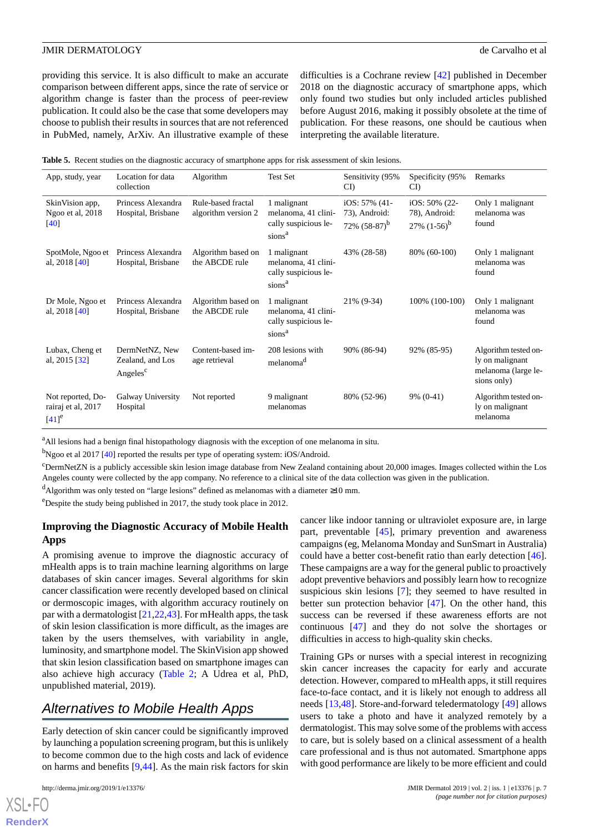providing this service. It is also difficult to make an accurate comparison between different apps, since the rate of service or algorithm change is faster than the process of peer-review publication. It could also be the case that some developers may choose to publish their results in sources that are not referenced in PubMed, namely, ArXiv. An illustrative example of these

difficulties is a Cochrane review [\[42](#page-10-13)] published in December 2018 on the diagnostic accuracy of smartphone apps, which only found two studies but only included articles published before August 2016, making it possibly obsolete at the time of publication. For these reasons, one should be cautious when interpreting the available literature.

<span id="page-6-0"></span>

| App, study, year                                               | Location for data<br>collection                            | Algorithm                                 | <b>Test Set</b>                                                                  | Sensitivity (95%)<br>CI                              | Specificity (95%)<br>CI)                            | Remarks                                                                       |
|----------------------------------------------------------------|------------------------------------------------------------|-------------------------------------------|----------------------------------------------------------------------------------|------------------------------------------------------|-----------------------------------------------------|-------------------------------------------------------------------------------|
| SkinVision app,<br>Ngoo et al, 2018<br>[40]                    | Princess Alexandra<br>Hospital, Brisbane                   | Rule-based fractal<br>algorithm version 2 | 1 malignant<br>melanoma, 41 clini-<br>cally suspicious le-<br>sions <sup>a</sup> | iOS: $57\%$ (41-<br>73), Android:<br>72% $(58-87)^b$ | iOS: $50\%$ (22-<br>78), Android:<br>27% $(1-56)^b$ | Only 1 malignant<br>melanoma was<br>found                                     |
| SpotMole, Ngoo et<br>al, $2018$ [40]                           | Princess Alexandra<br>Hospital, Brisbane                   | Algorithm based on<br>the ABCDE rule      | 1 malignant<br>melanoma, 41 clini-<br>cally suspicious le-<br>sions <sup>a</sup> | 43% (28-58)                                          | 80% (60-100)                                        | Only 1 malignant<br>melanoma was<br>found                                     |
| Dr Mole, Ngoo et<br>al, 2018 [40]                              | Princess Alexandra<br>Hospital, Brisbane                   | Algorithm based on<br>the ABCDE rule      | 1 malignant<br>melanoma, 41 clini-<br>cally suspicious le-<br>sions <sup>a</sup> | 21% (9-34)                                           | 100% (100-100)                                      | Only 1 malignant<br>melanoma was<br>found                                     |
| Lubax, Cheng et<br>al, 2015 [32]                               | DermNetNZ, New<br>Zealand, and Los<br>Angeles <sup>c</sup> | Content-based im-<br>age retrieval        | 208 lesions with<br>melanoma <sup>d</sup>                                        | 90% (86-94)                                          | 92% (85-95)                                         | Algorithm tested on-<br>ly on malignant<br>melanoma (large le-<br>sions only) |
| Not reported, Do-<br>rairaj et al, 2017<br>$[41]$ <sup>e</sup> | Galway University<br>Hospital                              | Not reported                              | 9 malignant<br>melanomas                                                         | 80% (52-96)                                          | $9\%$ (0-41)                                        | Algorithm tested on-<br>ly on malignant<br>melanoma                           |

<sup>a</sup>All lesions had a benign final histopathology diagnosis with the exception of one melanoma in situ.

<sup>b</sup>Ngoo et al 2017 [[40](#page-10-11)] reported the results per type of operating system: iOS/Android.

 $c$ DermNetZN is a publicly accessible skin lesion image database from New Zealand containing about 20,000 images. Images collected within the Los Angeles county were collected by the app company. No reference to a clinical site of the data collection was given in the publication.

<sup>d</sup>Algorithm was only tested on "large lesions" defined as melanomas with a diameter ≥10 mm.

<sup>e</sup>Despite the study being published in 2017, the study took place in 2012.

#### **Improving the Diagnostic Accuracy of Mobile Health Apps**

A promising avenue to improve the diagnostic accuracy of mHealth apps is to train machine learning algorithms on large databases of skin cancer images. Several algorithms for skin cancer classification were recently developed based on clinical or dermoscopic images, with algorithm accuracy routinely on par with a dermatologist [[21,](#page-9-12)[22](#page-9-13),[43\]](#page-10-14). For mHealth apps, the task of skin lesion classification is more difficult, as the images are taken by the users themselves, with variability in angle, luminosity, and smartphone model. The SkinVision app showed that skin lesion classification based on smartphone images can also achieve high accuracy [\(Table 2](#page-3-0); A Udrea et al, PhD, unpublished material, 2019).

## *Alternatives to Mobile Health Apps*

Early detection of skin cancer could be significantly improved by launching a population screening program, but this is unlikely to become common due to the high costs and lack of evidence on harms and benefits [\[9,](#page-9-1)[44\]](#page-10-15). As the main risk factors for skin

cancer like indoor tanning or ultraviolet exposure are, in large part, preventable [\[45](#page-10-16)], primary prevention and awareness campaigns (eg, Melanoma Monday and SunSmart in Australia) could have a better cost-benefit ratio than early detection [[46\]](#page-10-17). These campaigns are a way for the general public to proactively adopt preventive behaviors and possibly learn how to recognize suspicious skin lesions [\[7](#page-8-5)]; they seemed to have resulted in better sun protection behavior [\[47](#page-10-18)]. On the other hand, this success can be reversed if these awareness efforts are not continuous [[47\]](#page-10-18) and they do not solve the shortages or difficulties in access to high-quality skin checks.

Training GPs or nurses with a special interest in recognizing skin cancer increases the capacity for early and accurate detection. However, compared to mHealth apps, it still requires face-to-face contact, and it is likely not enough to address all needs [\[13](#page-9-5),[48\]](#page-10-19). Store-and-forward teledermatology [[49\]](#page-10-20) allows users to take a photo and have it analyzed remotely by a dermatologist. This may solve some of the problems with access to care, but is solely based on a clinical assessment of a health care professional and is thus not automated. Smartphone apps with good performance are likely to be more efficient and could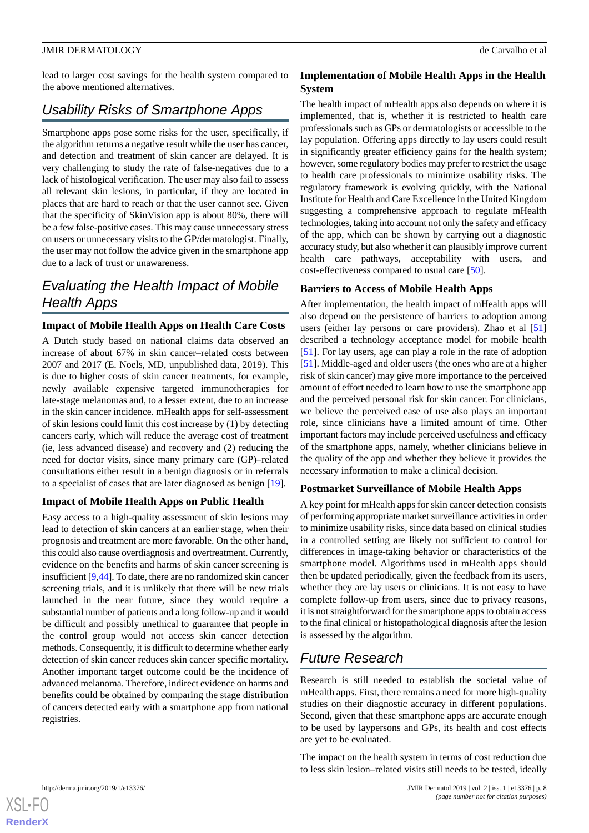lead to larger cost savings for the health system compared to the above mentioned alternatives.

## *Usability Risks of Smartphone Apps*

Smartphone apps pose some risks for the user, specifically, if the algorithm returns a negative result while the user has cancer, and detection and treatment of skin cancer are delayed. It is very challenging to study the rate of false-negatives due to a lack of histological verification. The user may also fail to assess all relevant skin lesions, in particular, if they are located in places that are hard to reach or that the user cannot see. Given that the specificity of SkinVision app is about 80%, there will be a few false-positive cases. This may cause unnecessary stress on users or unnecessary visits to the GP/dermatologist. Finally, the user may not follow the advice given in the smartphone app due to a lack of trust or unawareness.

## *Evaluating the Health Impact of Mobile Health Apps*

### **Impact of Mobile Health Apps on Health Care Costs**

A Dutch study based on national claims data observed an increase of about 67% in skin cancer–related costs between 2007 and 2017 (E. Noels, MD, unpublished data, 2019). This is due to higher costs of skin cancer treatments, for example, newly available expensive targeted immunotherapies for late-stage melanomas and, to a lesser extent, due to an increase in the skin cancer incidence. mHealth apps for self-assessment of skin lesions could limit this cost increase by (1) by detecting cancers early, which will reduce the average cost of treatment (ie, less advanced disease) and recovery and (2) reducing the need for doctor visits, since many primary care (GP)–related consultations either result in a benign diagnosis or in referrals to a specialist of cases that are later diagnosed as benign [\[19](#page-9-11)].

#### **Impact of Mobile Health Apps on Public Health**

Easy access to a high-quality assessment of skin lesions may lead to detection of skin cancers at an earlier stage, when their prognosis and treatment are more favorable. On the other hand, this could also cause overdiagnosis and overtreatment. Currently, evidence on the benefits and harms of skin cancer screening is insufficient [\[9](#page-9-1),[44\]](#page-10-15). To date, there are no randomized skin cancer screening trials, and it is unlikely that there will be new trials launched in the near future, since they would require a substantial number of patients and a long follow-up and it would be difficult and possibly unethical to guarantee that people in the control group would not access skin cancer detection methods. Consequently, it is difficult to determine whether early detection of skin cancer reduces skin cancer specific mortality. Another important target outcome could be the incidence of advanced melanoma. Therefore, indirect evidence on harms and benefits could be obtained by comparing the stage distribution of cancers detected early with a smartphone app from national registries.

#### **Implementation of Mobile Health Apps in the Health System**

The health impact of mHealth apps also depends on where it is implemented, that is, whether it is restricted to health care professionals such as GPs or dermatologists or accessible to the lay population. Offering apps directly to lay users could result in significantly greater efficiency gains for the health system; however, some regulatory bodies may prefer to restrict the usage to health care professionals to minimize usability risks. The regulatory framework is evolving quickly, with the National Institute for Health and Care Excellence in the United Kingdom suggesting a comprehensive approach to regulate mHealth technologies, taking into account not only the safety and efficacy of the app, which can be shown by carrying out a diagnostic accuracy study, but also whether it can plausibly improve current health care pathways, acceptability with users, and cost-effectiveness compared to usual care [\[50](#page-10-21)].

#### **Barriers to Access of Mobile Health Apps**

After implementation, the health impact of mHealth apps will also depend on the persistence of barriers to adoption among users (either lay persons or care providers). Zhao et al [\[51](#page-10-22)] described a technology acceptance model for mobile health [[51\]](#page-10-22). For lay users, age can play a role in the rate of adoption [[51\]](#page-10-22). Middle-aged and older users (the ones who are at a higher risk of skin cancer) may give more importance to the perceived amount of effort needed to learn how to use the smartphone app and the perceived personal risk for skin cancer. For clinicians, we believe the perceived ease of use also plays an important role, since clinicians have a limited amount of time. Other important factors may include perceived usefulness and efficacy of the smartphone apps, namely, whether clinicians believe in the quality of the app and whether they believe it provides the necessary information to make a clinical decision.

#### **Postmarket Surveillance of Mobile Health Apps**

A key point for mHealth apps for skin cancer detection consists of performing appropriate market surveillance activities in order to minimize usability risks, since data based on clinical studies in a controlled setting are likely not sufficient to control for differences in image-taking behavior or characteristics of the smartphone model. Algorithms used in mHealth apps should then be updated periodically, given the feedback from its users, whether they are lay users or clinicians. It is not easy to have complete follow-up from users, since due to privacy reasons, it is not straightforward for the smartphone apps to obtain access to the final clinical or histopathological diagnosis after the lesion is assessed by the algorithm.

## *Future Research*

Research is still needed to establish the societal value of mHealth apps. First, there remains a need for more high-quality studies on their diagnostic accuracy in different populations. Second, given that these smartphone apps are accurate enough to be used by laypersons and GPs, its health and cost effects are yet to be evaluated.

The impact on the health system in terms of cost reduction due to less skin lesion–related visits still needs to be tested, ideally

```
XSL•FORenderX
```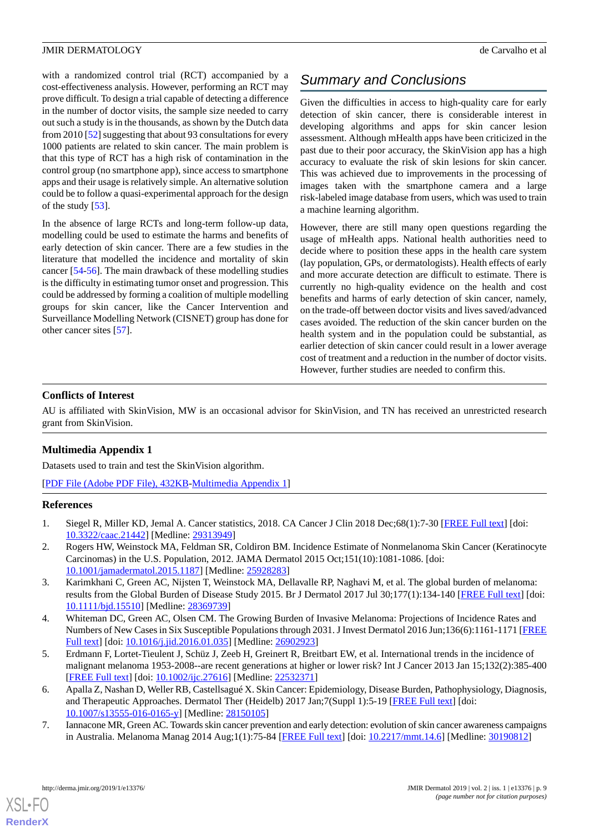with a randomized control trial (RCT) accompanied by a cost-effectiveness analysis. However, performing an RCT may prove difficult. To design a trial capable of detecting a difference in the number of doctor visits, the sample size needed to carry out such a study is in the thousands, as shown by the Dutch data from 2010 [\[52](#page-10-23)] suggesting that about 93 consultations for every 1000 patients are related to skin cancer. The main problem is that this type of RCT has a high risk of contamination in the control group (no smartphone app), since access to smartphone apps and their usage is relatively simple. An alternative solution could be to follow a quasi-experimental approach for the design of the study [[53\]](#page-10-24).

In the absence of large RCTs and long-term follow-up data, modelling could be used to estimate the harms and benefits of early detection of skin cancer. There are a few studies in the literature that modelled the incidence and mortality of skin cancer [\[54](#page-10-25)-[56\]](#page-11-0). The main drawback of these modelling studies is the difficulty in estimating tumor onset and progression. This could be addressed by forming a coalition of multiple modelling groups for skin cancer, like the Cancer Intervention and Surveillance Modelling Network (CISNET) group has done for other cancer sites [[57\]](#page-11-1).

# *Summary and Conclusions*

Given the difficulties in access to high-quality care for early detection of skin cancer, there is considerable interest in developing algorithms and apps for skin cancer lesion assessment. Although mHealth apps have been criticized in the past due to their poor accuracy, the SkinVision app has a high accuracy to evaluate the risk of skin lesions for skin cancer. This was achieved due to improvements in the processing of images taken with the smartphone camera and a large risk-labeled image database from users, which was used to train a machine learning algorithm.

However, there are still many open questions regarding the usage of mHealth apps. National health authorities need to decide where to position these apps in the health care system (lay population, GPs, or dermatologists). Health effects of early and more accurate detection are difficult to estimate. There is currently no high-quality evidence on the health and cost benefits and harms of early detection of skin cancer, namely, on the trade-off between doctor visits and lives saved/advanced cases avoided. The reduction of the skin cancer burden on the health system and in the population could be substantial, as earlier detection of skin cancer could result in a lower average cost of treatment and a reduction in the number of doctor visits. However, further studies are needed to confirm this.

### **Conflicts of Interest**

<span id="page-8-6"></span>AU is affiliated with SkinVision, MW is an occasional advisor for SkinVision, and TN has received an unrestricted research grant from SkinVision.

#### **Multimedia Appendix 1**

<span id="page-8-0"></span>Datasets used to train and test the SkinVision algorithm.

<span id="page-8-1"></span>[[PDF File \(Adobe PDF File\), 432KB-Multimedia Appendix 1](https://jmir.org/api/download?alt_name=derma_v2i1e13376_app1.pdf&filename=df9230faa689f1b11ae0e39c5b61ea88.pdf)]

#### **References**

- <span id="page-8-2"></span>1. Siegel R, Miller KD, Jemal A. Cancer statistics, 2018. CA Cancer J Clin 2018 Dec;68(1):7-30 [\[FREE Full text\]](https://doi.org/10.3322/caac.21442) [doi: [10.3322/caac.21442](http://dx.doi.org/10.3322/caac.21442)] [Medline: [29313949\]](http://www.ncbi.nlm.nih.gov/entrez/query.fcgi?cmd=Retrieve&db=PubMed&list_uids=29313949&dopt=Abstract)
- <span id="page-8-3"></span>2. Rogers HW, Weinstock MA, Feldman SR, Coldiron BM. Incidence Estimate of Nonmelanoma Skin Cancer (Keratinocyte Carcinomas) in the U.S. Population, 2012. JAMA Dermatol 2015 Oct;151(10):1081-1086. [doi: [10.1001/jamadermatol.2015.1187\]](http://dx.doi.org/10.1001/jamadermatol.2015.1187) [Medline: [25928283\]](http://www.ncbi.nlm.nih.gov/entrez/query.fcgi?cmd=Retrieve&db=PubMed&list_uids=25928283&dopt=Abstract)
- 3. Karimkhani C, Green AC, Nijsten T, Weinstock MA, Dellavalle RP, Naghavi M, et al. The global burden of melanoma: results from the Global Burden of Disease Study 2015. Br J Dermatol 2017 Jul 30;177(1):134-140 [[FREE Full text](http://europepmc.org/abstract/MED/28369739)] [doi: [10.1111/bjd.15510](http://dx.doi.org/10.1111/bjd.15510)] [Medline: [28369739\]](http://www.ncbi.nlm.nih.gov/entrez/query.fcgi?cmd=Retrieve&db=PubMed&list_uids=28369739&dopt=Abstract)
- <span id="page-8-4"></span>4. Whiteman DC, Green AC, Olsen CM. The Growing Burden of Invasive Melanoma: Projections of Incidence Rates and Numbers of New Cases in Six Susceptible Populations through 2031. J Invest Dermatol 2016 Jun;136(6):1161-1171 [\[FREE](https://linkinghub.elsevier.com/retrieve/pii/S0022-202X(16)00488-7) [Full text\]](https://linkinghub.elsevier.com/retrieve/pii/S0022-202X(16)00488-7) [doi: [10.1016/j.jid.2016.01.035\]](http://dx.doi.org/10.1016/j.jid.2016.01.035) [Medline: [26902923\]](http://www.ncbi.nlm.nih.gov/entrez/query.fcgi?cmd=Retrieve&db=PubMed&list_uids=26902923&dopt=Abstract)
- <span id="page-8-5"></span>5. Erdmann F, Lortet-Tieulent J, Schüz J, Zeeb H, Greinert R, Breitbart EW, et al. International trends in the incidence of malignant melanoma 1953-2008--are recent generations at higher or lower risk? Int J Cancer 2013 Jan 15;132(2):385-400 [[FREE Full text](https://doi.org/10.1002/ijc.27616)] [doi: [10.1002/ijc.27616](http://dx.doi.org/10.1002/ijc.27616)] [Medline: [22532371](http://www.ncbi.nlm.nih.gov/entrez/query.fcgi?cmd=Retrieve&db=PubMed&list_uids=22532371&dopt=Abstract)]
- 6. Apalla Z, Nashan D, Weller RB, Castellsagué X. Skin Cancer: Epidemiology, Disease Burden, Pathophysiology, Diagnosis, and Therapeutic Approaches. Dermatol Ther (Heidelb) 2017 Jan;7(Suppl 1):5-19 [[FREE Full text](http://europepmc.org/abstract/MED/28150105)] [doi: [10.1007/s13555-016-0165-y\]](http://dx.doi.org/10.1007/s13555-016-0165-y) [Medline: [28150105](http://www.ncbi.nlm.nih.gov/entrez/query.fcgi?cmd=Retrieve&db=PubMed&list_uids=28150105&dopt=Abstract)]
- 7. Iannacone MR, Green AC. Towards skin cancer prevention and early detection: evolution of skin cancer awareness campaigns in Australia. Melanoma Manag 2014 Aug;1(1):75-84 [\[FREE Full text\]](http://europepmc.org/abstract/MED/30190812) [doi: [10.2217/mmt.14.6](http://dx.doi.org/10.2217/mmt.14.6)] [Medline: [30190812](http://www.ncbi.nlm.nih.gov/entrez/query.fcgi?cmd=Retrieve&db=PubMed&list_uids=30190812&dopt=Abstract)]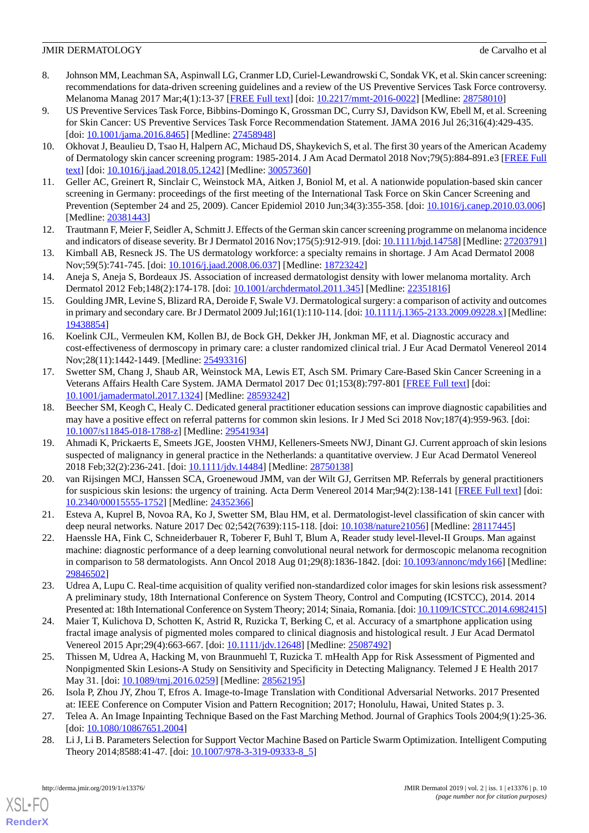- <span id="page-9-0"></span>8. Johnson MM, Leachman SA, Aspinwall LG, Cranmer LD, Curiel-Lewandrowski C, Sondak VK, et al. Skin cancer screening: recommendations for data-driven screening guidelines and a review of the US Preventive Services Task Force controversy. Melanoma Manag 2017 Mar;4(1):13-37 [[FREE Full text](http://europepmc.org/abstract/MED/28758010)] [doi: [10.2217/mmt-2016-0022](http://dx.doi.org/10.2217/mmt-2016-0022)] [Medline: [28758010](http://www.ncbi.nlm.nih.gov/entrez/query.fcgi?cmd=Retrieve&db=PubMed&list_uids=28758010&dopt=Abstract)]
- <span id="page-9-1"></span>9. US Preventive Services Task Force, Bibbins-Domingo K, Grossman DC, Curry SJ, Davidson KW, Ebell M, et al. Screening for Skin Cancer: US Preventive Services Task Force Recommendation Statement. JAMA 2016 Jul 26;316(4):429-435. [doi: [10.1001/jama.2016.8465\]](http://dx.doi.org/10.1001/jama.2016.8465) [Medline: [27458948](http://www.ncbi.nlm.nih.gov/entrez/query.fcgi?cmd=Retrieve&db=PubMed&list_uids=27458948&dopt=Abstract)]
- <span id="page-9-2"></span>10. Okhovat J, Beaulieu D, Tsao H, Halpern AC, Michaud DS, Shaykevich S, et al. The first 30 years of the American Academy of Dermatology skin cancer screening program: 1985-2014. J Am Acad Dermatol 2018 Nov;79(5):884-891.e3 [\[FREE Full](http://europepmc.org/abstract/MED/30057360) [text](http://europepmc.org/abstract/MED/30057360)] [doi: [10.1016/j.jaad.2018.05.1242](http://dx.doi.org/10.1016/j.jaad.2018.05.1242)] [Medline: [30057360](http://www.ncbi.nlm.nih.gov/entrez/query.fcgi?cmd=Retrieve&db=PubMed&list_uids=30057360&dopt=Abstract)]
- <span id="page-9-3"></span>11. Geller AC, Greinert R, Sinclair C, Weinstock MA, Aitken J, Boniol M, et al. A nationwide population-based skin cancer screening in Germany: proceedings of the first meeting of the International Task Force on Skin Cancer Screening and Prevention (September 24 and 25, 2009). Cancer Epidemiol 2010 Jun;34(3):355-358. [doi: [10.1016/j.canep.2010.03.006](http://dx.doi.org/10.1016/j.canep.2010.03.006)] [Medline: [20381443](http://www.ncbi.nlm.nih.gov/entrez/query.fcgi?cmd=Retrieve&db=PubMed&list_uids=20381443&dopt=Abstract)]
- <span id="page-9-5"></span><span id="page-9-4"></span>12. Trautmann F, Meier F, Seidler A, Schmitt J. Effects of the German skin cancer screening programme on melanoma incidence and indicators of disease severity. Br J Dermatol 2016 Nov;175(5):912-919. [doi: [10.1111/bjd.14758\]](http://dx.doi.org/10.1111/bjd.14758) [Medline: [27203791](http://www.ncbi.nlm.nih.gov/entrez/query.fcgi?cmd=Retrieve&db=PubMed&list_uids=27203791&dopt=Abstract)]
- <span id="page-9-6"></span>13. Kimball AB, Resneck JS. The US dermatology workforce: a specialty remains in shortage. J Am Acad Dermatol 2008 Nov;59(5):741-745. [doi: [10.1016/j.jaad.2008.06.037](http://dx.doi.org/10.1016/j.jaad.2008.06.037)] [Medline: [18723242](http://www.ncbi.nlm.nih.gov/entrez/query.fcgi?cmd=Retrieve&db=PubMed&list_uids=18723242&dopt=Abstract)]
- <span id="page-9-7"></span>14. Aneja S, Aneja S, Bordeaux JS. Association of increased dermatologist density with lower melanoma mortality. Arch Dermatol 2012 Feb;148(2):174-178. [doi: [10.1001/archdermatol.2011.345](http://dx.doi.org/10.1001/archdermatol.2011.345)] [Medline: [22351816](http://www.ncbi.nlm.nih.gov/entrez/query.fcgi?cmd=Retrieve&db=PubMed&list_uids=22351816&dopt=Abstract)]
- <span id="page-9-9"></span>15. Goulding JMR, Levine S, Blizard RA, Deroide F, Swale VJ. Dermatological surgery: a comparison of activity and outcomes in primary and secondary care. Br J Dermatol 2009 Jul;161(1):110-114. [doi: [10.1111/j.1365-2133.2009.09228.x](http://dx.doi.org/10.1111/j.1365-2133.2009.09228.x)] [Medline: [19438854](http://www.ncbi.nlm.nih.gov/entrez/query.fcgi?cmd=Retrieve&db=PubMed&list_uids=19438854&dopt=Abstract)]
- <span id="page-9-10"></span>16. Koelink CJL, Vermeulen KM, Kollen BJ, de Bock GH, Dekker JH, Jonkman MF, et al. Diagnostic accuracy and cost-effectiveness of dermoscopy in primary care: a cluster randomized clinical trial. J Eur Acad Dermatol Venereol 2014 Nov;28(11):1442-1449. [Medline: [25493316](http://www.ncbi.nlm.nih.gov/entrez/query.fcgi?cmd=Retrieve&db=PubMed&list_uids=25493316&dopt=Abstract)]
- 17. Swetter SM, Chang J, Shaub AR, Weinstock MA, Lewis ET, Asch SM. Primary Care-Based Skin Cancer Screening in a Veterans Affairs Health Care System. JAMA Dermatol 2017 Dec 01;153(8):797-801 [[FREE Full text](http://europepmc.org/abstract/MED/28593242)] [doi: [10.1001/jamadermatol.2017.1324\]](http://dx.doi.org/10.1001/jamadermatol.2017.1324) [Medline: [28593242\]](http://www.ncbi.nlm.nih.gov/entrez/query.fcgi?cmd=Retrieve&db=PubMed&list_uids=28593242&dopt=Abstract)
- <span id="page-9-11"></span>18. Beecher SM, Keogh C, Healy C. Dedicated general practitioner education sessions can improve diagnostic capabilities and may have a positive effect on referral patterns for common skin lesions. Ir J Med Sci 2018 Nov;187(4):959-963. [doi: [10.1007/s11845-018-1788-z](http://dx.doi.org/10.1007/s11845-018-1788-z)] [Medline: [29541934\]](http://www.ncbi.nlm.nih.gov/entrez/query.fcgi?cmd=Retrieve&db=PubMed&list_uids=29541934&dopt=Abstract)
- <span id="page-9-8"></span>19. Ahmadi K, Prickaerts E, Smeets JGE, Joosten VHMJ, Kelleners-Smeets NWJ, Dinant GJ. Current approach of skin lesions suspected of malignancy in general practice in the Netherlands: a quantitative overview. J Eur Acad Dermatol Venereol 2018 Feb;32(2):236-241. [doi: [10.1111/jdv.14484\]](http://dx.doi.org/10.1111/jdv.14484) [Medline: [28750138\]](http://www.ncbi.nlm.nih.gov/entrez/query.fcgi?cmd=Retrieve&db=PubMed&list_uids=28750138&dopt=Abstract)
- <span id="page-9-13"></span><span id="page-9-12"></span>20. van Rijsingen MCJ, Hanssen SCA, Groenewoud JMM, van der Wilt GJ, Gerritsen MP. Referrals by general practitioners for suspicious skin lesions: the urgency of training. Acta Derm Venereol 2014 Mar;94(2):138-141 [\[FREE Full text\]](https://www.medicaljournals.se/acta/content/abstract/10.2340/00015555-1752) [doi: [10.2340/00015555-1752](http://dx.doi.org/10.2340/00015555-1752)] [Medline: [24352366\]](http://www.ncbi.nlm.nih.gov/entrez/query.fcgi?cmd=Retrieve&db=PubMed&list_uids=24352366&dopt=Abstract)
- 21. Esteva A, Kuprel B, Novoa RA, Ko J, Swetter SM, Blau HM, et al. Dermatologist-level classification of skin cancer with deep neural networks. Nature 2017 Dec 02;542(7639):115-118. [doi: [10.1038/nature21056\]](http://dx.doi.org/10.1038/nature21056) [Medline: [28117445\]](http://www.ncbi.nlm.nih.gov/entrez/query.fcgi?cmd=Retrieve&db=PubMed&list_uids=28117445&dopt=Abstract)
- <span id="page-9-15"></span><span id="page-9-14"></span>22. Haenssle HA, Fink C, Schneiderbauer R, Toberer F, Buhl T, Blum A, Reader study level-Ilevel-II Groups. Man against machine: diagnostic performance of a deep learning convolutional neural network for dermoscopic melanoma recognition in comparison to 58 dermatologists. Ann Oncol 2018 Aug 01;29(8):1836-1842. [doi: [10.1093/annonc/mdy166\]](http://dx.doi.org/10.1093/annonc/mdy166) [Medline: [29846502](http://www.ncbi.nlm.nih.gov/entrez/query.fcgi?cmd=Retrieve&db=PubMed&list_uids=29846502&dopt=Abstract)]
- <span id="page-9-16"></span>23. Udrea A, Lupu C. Real-time acquisition of quality verified non-standardized color images for skin lesions risk assessment? A preliminary study, 18th International Conference on System Theory, Control and Computing (ICSTCC), 2014. 2014 Presented at: 18th International Conference on System Theory; 2014; Sinaia, Romania. [doi: [10.1109/ICSTCC.2014.6982415](http://dx.doi.org/10.1109/ICSTCC.2014.6982415)]
- <span id="page-9-17"></span>24. Maier T, Kulichova D, Schotten K, Astrid R, Ruzicka T, Berking C, et al. Accuracy of a smartphone application using fractal image analysis of pigmented moles compared to clinical diagnosis and histological result. J Eur Acad Dermatol Venereol 2015 Apr;29(4):663-667. [doi: [10.1111/jdv.12648](http://dx.doi.org/10.1111/jdv.12648)] [Medline: [25087492](http://www.ncbi.nlm.nih.gov/entrez/query.fcgi?cmd=Retrieve&db=PubMed&list_uids=25087492&dopt=Abstract)]
- <span id="page-9-19"></span><span id="page-9-18"></span>25. Thissen M, Udrea A, Hacking M, von Braunmuehl T, Ruzicka T. mHealth App for Risk Assessment of Pigmented and Nonpigmented Skin Lesions-A Study on Sensitivity and Specificity in Detecting Malignancy. Telemed J E Health 2017 May 31. [doi: [10.1089/tmj.2016.0259](http://dx.doi.org/10.1089/tmj.2016.0259)] [Medline: [28562195](http://www.ncbi.nlm.nih.gov/entrez/query.fcgi?cmd=Retrieve&db=PubMed&list_uids=28562195&dopt=Abstract)]
- 26. Isola P, Zhou JY, Zhou T, Efros A. Image-to-Image Translation with Conditional Adversarial Networks. 2017 Presented at: IEEE Conference on Computer Vision and Pattern Recognition; 2017; Honolulu, Hawai, United States p. 3.
- 27. Telea A. An Image Inpainting Technique Based on the Fast Marching Method. Journal of Graphics Tools 2004;9(1):25-36. [doi: [10.1080/10867651.2004\]](http://dx.doi.org/10.1080/10867651.2004)
- 28. Li J, Li B. Parameters Selection for Support Vector Machine Based on Particle Swarm Optimization. Intelligent Computing Theory 2014;8588:41-47. [doi: [10.1007/978-3-319-09333-8\\_5\]](http://dx.doi.org/10.1007/978-3-319-09333-8_5)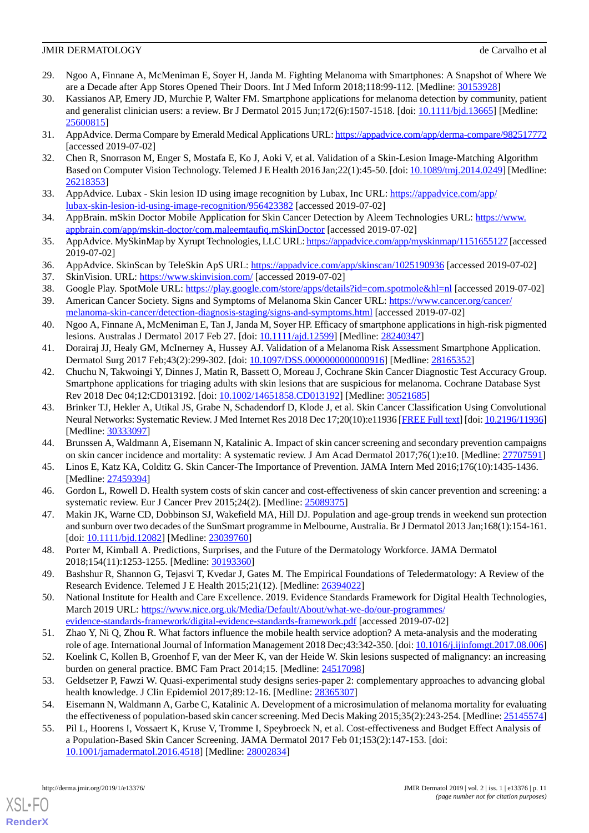- <span id="page-10-0"></span>29. Ngoo A, Finnane A, McMeniman E, Soyer H, Janda M. Fighting Melanoma with Smartphones: A Snapshot of Where We are a Decade after App Stores Opened Their Doors. Int J Med Inform 2018;118:99-112. [Medline: [30153928\]](http://www.ncbi.nlm.nih.gov/entrez/query.fcgi?cmd=Retrieve&db=PubMed&list_uids=30153928&dopt=Abstract)
- <span id="page-10-1"></span>30. Kassianos AP, Emery JD, Murchie P, Walter FM. Smartphone applications for melanoma detection by community, patient and generalist clinician users: a review. Br J Dermatol 2015 Jun;172(6):1507-1518. [doi: [10.1111/bjd.13665\]](http://dx.doi.org/10.1111/bjd.13665) [Medline: [25600815](http://www.ncbi.nlm.nih.gov/entrez/query.fcgi?cmd=Retrieve&db=PubMed&list_uids=25600815&dopt=Abstract)]
- <span id="page-10-3"></span><span id="page-10-2"></span>31. AppAdvice. Derma Compare by Emerald Medical Applications URL:<https://appadvice.com/app/derma-compare/982517772> [accessed 2019-07-02]
- <span id="page-10-4"></span>32. Chen R, Snorrason M, Enger S, Mostafa E, Ko J, Aoki V, et al. Validation of a Skin-Lesion Image-Matching Algorithm Based on Computer Vision Technology. Telemed J E Health 2016 Jan;22(1):45-50. [doi: [10.1089/tmj.2014.0249](http://dx.doi.org/10.1089/tmj.2014.0249)] [Medline: [26218353](http://www.ncbi.nlm.nih.gov/entrez/query.fcgi?cmd=Retrieve&db=PubMed&list_uids=26218353&dopt=Abstract)]
- <span id="page-10-5"></span>33. AppAdvice. Lubax - Skin lesion ID using image recognition by Lubax, Inc URL: [https://appadvice.com/app/](https://appadvice.com/app/lubax-skin-lesion-id-using-image-recognition/956423382) [lubax-skin-lesion-id-using-image-recognition/956423382](https://appadvice.com/app/lubax-skin-lesion-id-using-image-recognition/956423382) [accessed 2019-07-02]
- <span id="page-10-6"></span>34. AppBrain. mSkin Doctor Mobile Application for Skin Cancer Detection by Aleem Technologies URL: [https://www.](https://www.appbrain.com/app/mskin-doctor/com.maleemtaufiq.mSkinDoctor) [appbrain.com/app/mskin-doctor/com.maleemtaufiq.mSkinDoctor](https://www.appbrain.com/app/mskin-doctor/com.maleemtaufiq.mSkinDoctor) [accessed 2019-07-02]
- <span id="page-10-8"></span><span id="page-10-7"></span>35. AppAdvice. MySkinMap by Xyrupt Technologies, LLC URL:<https://appadvice.com/app/myskinmap/1151655127> [accessed 2019-07-02]
- <span id="page-10-10"></span><span id="page-10-9"></span>36. AppAdvice. SkinScan by TeleSkin ApS URL: <https://appadvice.com/app/skinscan/1025190936> [accessed 2019-07-02]
- 37. SkinVision. URL:<https://www.skinvision.com/> [accessed 2019-07-02]
- <span id="page-10-11"></span>38. Google Play. SpotMole URL: <https://play.google.com/store/apps/details?id=com.spotmole&hl=nl> [accessed 2019-07-02]
- 39. American Cancer Society. Signs and Symptoms of Melanoma Skin Cancer URL: [https://www.cancer.org/cancer/](https://www.cancer.org/cancer/melanoma-skin-cancer/detection-diagnosis-staging/signs-and-symptoms.html) [melanoma-skin-cancer/detection-diagnosis-staging/signs-and-symptoms.html](https://www.cancer.org/cancer/melanoma-skin-cancer/detection-diagnosis-staging/signs-and-symptoms.html) [accessed 2019-07-02]
- <span id="page-10-13"></span><span id="page-10-12"></span>40. Ngoo A, Finnane A, McMeniman E, Tan J, Janda M, Soyer HP. Efficacy of smartphone applications in high-risk pigmented lesions. Australas J Dermatol 2017 Feb 27. [doi: [10.1111/ajd.12599\]](http://dx.doi.org/10.1111/ajd.12599) [Medline: [28240347](http://www.ncbi.nlm.nih.gov/entrez/query.fcgi?cmd=Retrieve&db=PubMed&list_uids=28240347&dopt=Abstract)]
- 41. Dorairaj JJ, Healy GM, McInerney A, Hussey AJ. Validation of a Melanoma Risk Assessment Smartphone Application. Dermatol Surg 2017 Feb;43(2):299-302. [doi: [10.1097/DSS.0000000000000916\]](http://dx.doi.org/10.1097/DSS.0000000000000916) [Medline: [28165352](http://www.ncbi.nlm.nih.gov/entrez/query.fcgi?cmd=Retrieve&db=PubMed&list_uids=28165352&dopt=Abstract)]
- <span id="page-10-14"></span>42. Chuchu N, Takwoingi Y, Dinnes J, Matin R, Bassett O, Moreau J, Cochrane Skin Cancer Diagnostic Test Accuracy Group. Smartphone applications for triaging adults with skin lesions that are suspicious for melanoma. Cochrane Database Syst Rev 2018 Dec 04;12:CD013192. [doi: [10.1002/14651858.CD013192\]](http://dx.doi.org/10.1002/14651858.CD013192) [Medline: [30521685](http://www.ncbi.nlm.nih.gov/entrez/query.fcgi?cmd=Retrieve&db=PubMed&list_uids=30521685&dopt=Abstract)]
- <span id="page-10-16"></span><span id="page-10-15"></span>43. Brinker TJ, Hekler A, Utikal JS, Grabe N, Schadendorf D, Klode J, et al. Skin Cancer Classification Using Convolutional Neural Networks: Systematic Review. J Med Internet Res 2018 Dec 17;20(10):e11936 [\[FREE Full text\]](http://www.jmir.org/2018/10/e11936/) [doi: [10.2196/11936\]](http://dx.doi.org/10.2196/11936) [Medline: [30333097](http://www.ncbi.nlm.nih.gov/entrez/query.fcgi?cmd=Retrieve&db=PubMed&list_uids=30333097&dopt=Abstract)]
- <span id="page-10-17"></span>44. Brunssen A, Waldmann A, Eisemann N, Katalinic A. Impact of skin cancer screening and secondary prevention campaigns on skin cancer incidence and mortality: A systematic review. J Am Acad Dermatol 2017;76(1):e10. [Medline: [27707591](http://www.ncbi.nlm.nih.gov/entrez/query.fcgi?cmd=Retrieve&db=PubMed&list_uids=27707591&dopt=Abstract)]
- <span id="page-10-18"></span>45. Linos E, Katz KA, Colditz G. Skin Cancer-The Importance of Prevention. JAMA Intern Med 2016;176(10):1435-1436. [Medline: [27459394](http://www.ncbi.nlm.nih.gov/entrez/query.fcgi?cmd=Retrieve&db=PubMed&list_uids=27459394&dopt=Abstract)]
- <span id="page-10-19"></span>46. Gordon L, Rowell D. Health system costs of skin cancer and cost-effectiveness of skin cancer prevention and screening: a systematic review. Eur J Cancer Prev 2015;24(2). [Medline: [25089375](http://www.ncbi.nlm.nih.gov/entrez/query.fcgi?cmd=Retrieve&db=PubMed&list_uids=25089375&dopt=Abstract)]
- <span id="page-10-20"></span>47. Makin JK, Warne CD, Dobbinson SJ, Wakefield MA, Hill DJ. Population and age-group trends in weekend sun protection and sunburn over two decades of the SunSmart programme in Melbourne, Australia. Br J Dermatol 2013 Jan;168(1):154-161. [doi: [10.1111/bjd.12082\]](http://dx.doi.org/10.1111/bjd.12082) [Medline: [23039760](http://www.ncbi.nlm.nih.gov/entrez/query.fcgi?cmd=Retrieve&db=PubMed&list_uids=23039760&dopt=Abstract)]
- <span id="page-10-21"></span>48. Porter M, Kimball A. Predictions, Surprises, and the Future of the Dermatology Workforce. JAMA Dermatol 2018;154(11):1253-1255. [Medline: [30193360](http://www.ncbi.nlm.nih.gov/entrez/query.fcgi?cmd=Retrieve&db=PubMed&list_uids=30193360&dopt=Abstract)]
- <span id="page-10-22"></span>49. Bashshur R, Shannon G, Tejasvi T, Kvedar J, Gates M. The Empirical Foundations of Teledermatology: A Review of the Research Evidence. Telemed J E Health 2015;21(12). [Medline: [26394022](http://www.ncbi.nlm.nih.gov/entrez/query.fcgi?cmd=Retrieve&db=PubMed&list_uids=26394022&dopt=Abstract)]
- <span id="page-10-24"></span><span id="page-10-23"></span>50. National Institute for Health and Care Excellence. 2019. Evidence Standards Framework for Digital Health Technologies, March 2019 URL: [https://www.nice.org.uk/Media/Default/About/what-we-do/our-programmes/](https://www.nice.org.uk/Media/Default/About/what-we-do/our-programmes/evidence-standards-framework/digital-evidence-standards-framework.pdf) [evidence-standards-framework/digital-evidence-standards-framework.pdf](https://www.nice.org.uk/Media/Default/About/what-we-do/our-programmes/evidence-standards-framework/digital-evidence-standards-framework.pdf) [accessed 2019-07-02]
- <span id="page-10-25"></span>51. Zhao Y, Ni Q, Zhou R. What factors influence the mobile health service adoption? A meta-analysis and the moderating role of age. International Journal of Information Management 2018 Dec;43:342-350. [doi: [10.1016/j.ijinfomgt.2017.08.006](http://dx.doi.org/10.1016/j.ijinfomgt.2017.08.006)]
- 52. Koelink C, Kollen B, Groenhof F, van der Meer K, van der Heide W. Skin lesions suspected of malignancy: an increasing burden on general practice. BMC Fam Pract 2014;15. [Medline: [24517098](http://www.ncbi.nlm.nih.gov/entrez/query.fcgi?cmd=Retrieve&db=PubMed&list_uids=24517098&dopt=Abstract)]
- 53. Geldsetzer P, Fawzi W. Quasi-experimental study designs series-paper 2: complementary approaches to advancing global health knowledge. J Clin Epidemiol 2017;89:12-16. [Medline: [28365307](http://www.ncbi.nlm.nih.gov/entrez/query.fcgi?cmd=Retrieve&db=PubMed&list_uids=28365307&dopt=Abstract)]
- 54. Eisemann N, Waldmann A, Garbe C, Katalinic A. Development of a microsimulation of melanoma mortality for evaluating the effectiveness of population-based skin cancer screening. Med Decis Making 2015;35(2):243-254. [Medline: [25145574](http://www.ncbi.nlm.nih.gov/entrez/query.fcgi?cmd=Retrieve&db=PubMed&list_uids=25145574&dopt=Abstract)]
- 55. Pil L, Hoorens I, Vossaert K, Kruse V, Tromme I, Speybroeck N, et al. Cost-effectiveness and Budget Effect Analysis of a Population-Based Skin Cancer Screening. JAMA Dermatol 2017 Feb 01;153(2):147-153. [doi: [10.1001/jamadermatol.2016.4518\]](http://dx.doi.org/10.1001/jamadermatol.2016.4518) [Medline: [28002834\]](http://www.ncbi.nlm.nih.gov/entrez/query.fcgi?cmd=Retrieve&db=PubMed&list_uids=28002834&dopt=Abstract)